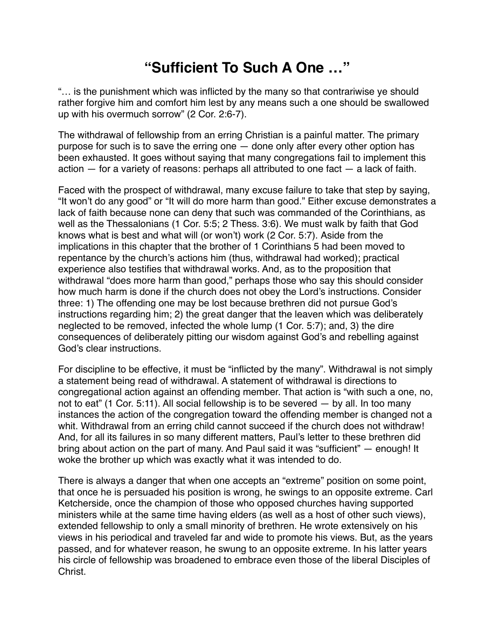## **"Sufficient To Such A One …"**

"… is the punishment which was inflicted by the many so that contrariwise ye should rather forgive him and comfort him lest by any means such a one should be swallowed up with his overmuch sorrow" (2 Cor. 2:6-7).

The withdrawal of fellowship from an erring Christian is a painful matter. The primary purpose for such is to save the erring one — done only after every other option has been exhausted. It goes without saying that many congregations fail to implement this  $action - for a variety of reasons: perhaps all attributed to one fact - a lack of faith.$ 

Faced with the prospect of withdrawal, many excuse failure to take that step by saying, "It won't do any good" or "It will do more harm than good." Either excuse demonstrates a lack of faith because none can deny that such was commanded of the Corinthians, as well as the Thessalonians (1 Cor. 5:5; 2 Thess. 3:6). We must walk by faith that God knows what is best and what will (or won't) work (2 Cor. 5:7). Aside from the implications in this chapter that the brother of 1 Corinthians 5 had been moved to repentance by the church's actions him (thus, withdrawal had worked); practical experience also testifies that withdrawal works. And, as to the proposition that withdrawal "does more harm than good," perhaps those who say this should consider how much harm is done if the church does not obey the Lord's instructions. Consider three: 1) The offending one may be lost because brethren did not pursue God's instructions regarding him; 2) the great danger that the leaven which was deliberately neglected to be removed, infected the whole lump (1 Cor. 5:7); and, 3) the dire consequences of deliberately pitting our wisdom against God's and rebelling against God's clear instructions.

For discipline to be effective, it must be "inflicted by the many". Withdrawal is not simply a statement being read of withdrawal. A statement of withdrawal is directions to congregational action against an offending member. That action is "with such a one, no, not to eat" (1 Cor. 5:11). All social fellowship is to be severed — by all. In too many instances the action of the congregation toward the offending member is changed not a whit. Withdrawal from an erring child cannot succeed if the church does not withdraw! And, for all its failures in so many different matters, Paul's letter to these brethren did bring about action on the part of many. And Paul said it was "sufficient" — enough! It woke the brother up which was exactly what it was intended to do.

There is always a danger that when one accepts an "extreme" position on some point, that once he is persuaded his position is wrong, he swings to an opposite extreme. Carl Ketcherside, once the champion of those who opposed churches having supported ministers while at the same time having elders (as well as a host of other such views), extended fellowship to only a small minority of brethren. He wrote extensively on his views in his periodical and traveled far and wide to promote his views. But, as the years passed, and for whatever reason, he swung to an opposite extreme. In his latter years his circle of fellowship was broadened to embrace even those of the liberal Disciples of **Christ**